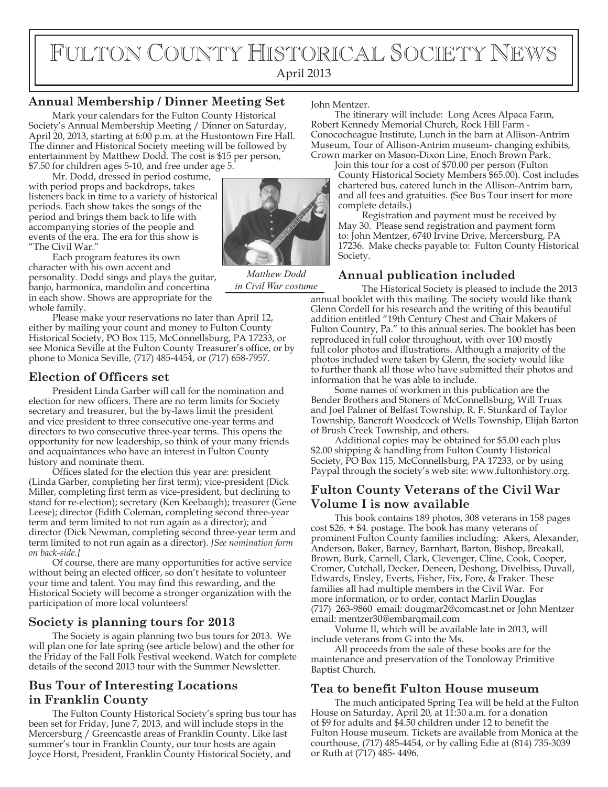# FULTON COUNTY HISTORICAL SOCIETY NEWS April 2013

#### **Annual Membership / Dinner Meeting Set**

Mark your calendars for the Fulton County Historical Society's Annual Membership Meeting / Dinner on Saturday, April 20, 2013, starting at 6:00 p.m. at the Hustontown Fire Hall. The dinner and Historical Society meeting will be followed by entertainment by Matthew Dodd. The cost is \$15 per person, \$7.50 for children ages 5-10, and free under age 5.

Mr. Dodd, dressed in period costume, with period props and backdrops, takes listeners back in time to a variety of historical periods. Each show takes the songs of the period and brings them back to life with accompanying stories of the people and events of the era. The era for this show is "The Civil War."

Each program features its own character with his own accent and personality. Dodd sings and plays the guitar, banjo, harmonica, mandolin and concertina in each show. Shows are appropriate for the whole family.

Please make your reservations no later than April 12, either by mailing your count and money to Fulton County Historical Society, PO Box 115, McConnellsburg, PA 17233, or see Monica Seville at the Fulton County Treasurer's office, or by phone to Monica Seville, (717) 485-4454, or (717) 658-7957.

#### **Election of Officers set**

President Linda Garber will call for the nomination and election for new officers. There are no term limits for Society secretary and treasurer, but the by-laws limit the president and vice president to three consecutive one-year terms and directors to two consecutive three-year terms. This opens the opportunity for new leadership, so think of your many friends and acquaintances who have an interest in Fulton County history and nominate them.

Offices slated for the election this year are: president (Linda Garber, completing her first term); vice-president (Dick Miller, completing first term as vice-president, but declining to stand for re-election); secretary (Ken Keebaugh); treasurer (Gene Leese); director (Edith Coleman, completing second three-year term and term limited to not run again as a director); and director (Dick Newman, completing second three-year term and term limited to not run again as a director). *[See nomination form on back-side.]*

Of course, there are many opportunities for active service without being an elected officer, so don't hesitate to volunteer your time and talent. You may find this rewarding, and the Historical Society will become a stronger organization with the participation of more local volunteers!

#### **Society is planning tours for 2013**

The Society is again planning two bus tours for 2013. We will plan one for late spring (see article below) and the other for the Friday of the Fall Folk Festival weekend. Watch for complete details of the second 2013 tour with the Summer Newsletter.

# **Bus Tour of Interesting Locations in Franklin County**

The Fulton County Historical Society's spring bus tour has been set for Friday, June 7, 2013, and will include stops in the Mercersburg / Greencastle areas of Franklin County. Like last summer's tour in Franklin County, our tour hosts are again Joyce Horst, President, Franklin County Historical Society, and

John Mentzer.

The itinerary will include: Long Acres Alpaca Farm, Robert Kennedy Memorial Church, Rock Hill Farm - Conococheague Institute, Lunch in the barn at Allison-Antrim Museum, Tour of Allison-Antrim museum- changing exhibits, Crown marker on Mason-Dixon Line, Enoch Brown Park.

Join this tour for a cost of \$70.00 per person (Fulton County Historical Society Members \$65.00). Cost includes chartered bus, catered lunch in the Allison-Antrim barn, and all fees and gratuities. (See Bus Tour insert for more complete details.)

Registration and payment must be received by May 30. Please send registration and payment form to: John Mentzer, 6740 Irvine Drive, Mercersburg, PA 17236. Make checks payable to: Fulton County Historical Society.

## **Annual publication included**

The Historical Society is pleased to include the 2013 annual booklet with this mailing. The society would like thank Glenn Cordell for his research and the writing of this beautiful addition entitled "19th Century Chest and Chair Makers of Fulton Country, Pa." to this annual series. The booklet has been reproduced in full color throughout, with over 100 mostly full color photos and illustrations. Although a majority of the photos included were taken by Glenn, the society would like to further thank all those who have submitted their photos and information that he was able to include. *in Civil War costume*

Some names of workmen in this publication are the Bender Brothers and Stoners of McConnellsburg, Will Truax and Joel Palmer of Belfast Township, R. F. Stunkard of Taylor Township, Bancroft Woodcock of Wells Township, Elijah Barton of Brush Creek Township, and others.

Additional copies may be obtained for \$5.00 each plus \$2.00 shipping & handling from Fulton County Historical Society, PO Box 115, McConnellsburg, PA 17233, or by using Paypal through the society's web site: www.fultonhistory.org.

## **Fulton County Veterans of the Civil War Volume I is now available**

This book contains 189 photos, 308 veterans in 158 pages cost \$26. + \$4. postage. The book has many veterans of prominent Fulton County families including: Akers, Alexander, Anderson, Baker, Barney, Barnhart, Barton, Bishop, Breakall, Brown, Burk, Carnell, Clark, Clevenger, Cline, Cook, Cooper, Cromer, Cutchall, Decker, Deneen, Deshong, Divelbiss, Duvall, Edwards, Ensley, Everts, Fisher, Fix, Fore, & Fraker. These families all had multiple members in the Civil War. For more information, or to order, contact Marlin Douglas (717) 263-9860 email: dougmar2@comcast.net or John Mentzer email: mentzer30@embarqmail.com

Volume II, which will be available late in 2013, will include veterans from G into the Ms.

All proceeds from the sale of these books are for the maintenance and preservation of the Tonoloway Primitive Baptist Church.

#### **Tea to benefit Fulton House museum**

The much anticipated Spring Tea will be held at the Fulton House on Saturday, April 20, at 11:30 a.m. for a donation of \$9 for adults and \$4.50 children under 12 to benefit the Fulton House museum. Tickets are available from Monica at the courthouse, (717) 485-4454, or by calling Edie at (814) 735-3039 or Ruth at (717) 485- 4496.